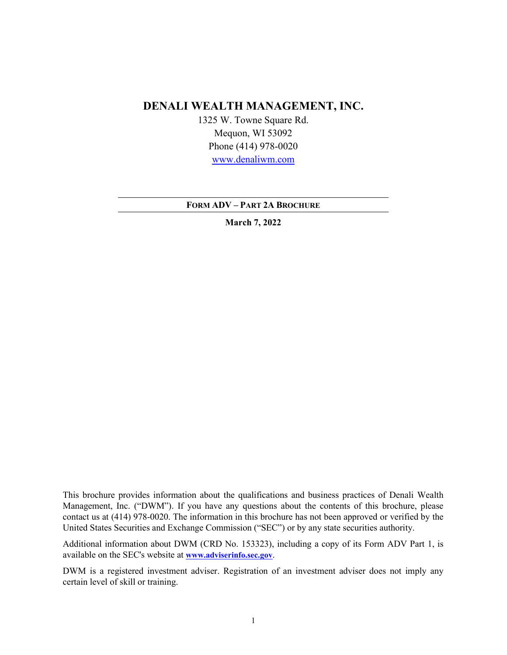# **DENALI WEALTH MANAGEMENT, INC.**

1325 W. Towne Square Rd. Mequon, WI 53092 Phone (414) 978-0020 [www.denaliwm.com](http://www.denaliwm.com/)

**FORM ADV – PART 2A BROCHURE**

**March 7, 2022**

This brochure provides information about the qualifications and business practices of Denali Wealth Management, Inc. ("DWM"). If you have any questions about the contents of this brochure, please contact us at (414) 978-0020. The information in this brochure has not been approved or verified by the United States Securities and Exchange Commission ("SEC") or by any state securities authority.

Additional information about DWM (CRD No. 153323), including a copy of its Form ADV Part 1, is available on the SEC's website at **[www.adviserinfo.sec.gov](http://www.adviserinfo.sec.gov/)**.

DWM is a registered investment adviser. Registration of an investment adviser does not imply any certain level of skill or training.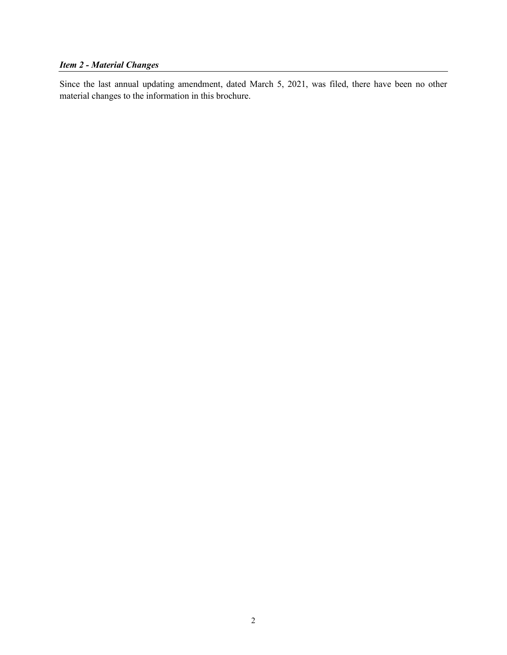# *Item 2 - Material Changes*

Since the last annual updating amendment, dated March 5, 2021, was filed, there have been no other material changes to the information in this brochure.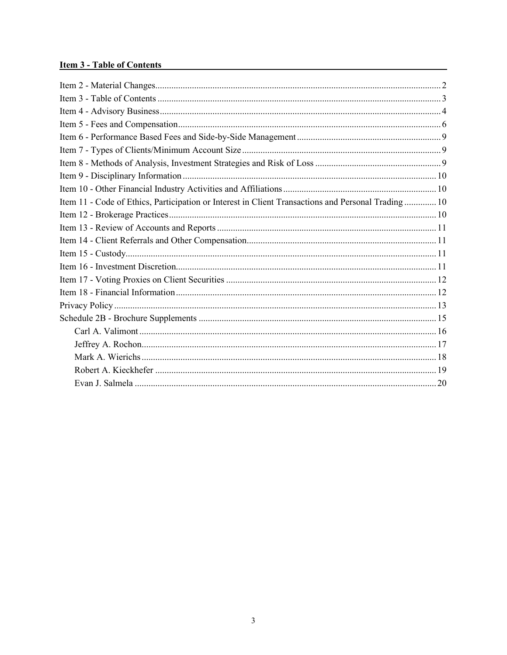# **Item 3 - Table of Contents**

| Item 11 - Code of Ethics, Participation or Interest in Client Transactions and Personal Trading 10 |
|----------------------------------------------------------------------------------------------------|
|                                                                                                    |
|                                                                                                    |
|                                                                                                    |
|                                                                                                    |
|                                                                                                    |
|                                                                                                    |
|                                                                                                    |
|                                                                                                    |
|                                                                                                    |
|                                                                                                    |
|                                                                                                    |
|                                                                                                    |
|                                                                                                    |
|                                                                                                    |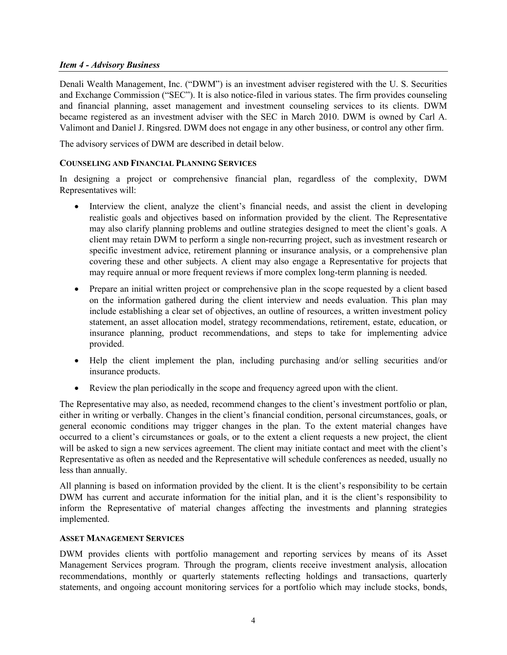#### *Item 4 - Advisory Business*

Denali Wealth Management, Inc. ("DWM") is an investment adviser registered with the U. S. Securities and Exchange Commission ("SEC"). It is also notice-filed in various states. The firm provides counseling and financial planning, asset management and investment counseling services to its clients. DWM became registered as an investment adviser with the SEC in March 2010. DWM is owned by Carl A. Valimont and Daniel J. Ringsred. DWM does not engage in any other business, or control any other firm.

The advisory services of DWM are described in detail below.

#### **COUNSELING AND FINANCIAL PLANNING SERVICES**

In designing a project or comprehensive financial plan, regardless of the complexity, DWM Representatives will:

- Interview the client, analyze the client's financial needs, and assist the client in developing realistic goals and objectives based on information provided by the client. The Representative may also clarify planning problems and outline strategies designed to meet the client's goals. A client may retain DWM to perform a single non-recurring project, such as investment research or specific investment advice, retirement planning or insurance analysis, or a comprehensive plan covering these and other subjects. A client may also engage a Representative for projects that may require annual or more frequent reviews if more complex long-term planning is needed.
- Prepare an initial written project or comprehensive plan in the scope requested by a client based on the information gathered during the client interview and needs evaluation. This plan may include establishing a clear set of objectives, an outline of resources, a written investment policy statement, an asset allocation model, strategy recommendations, retirement, estate, education, or insurance planning, product recommendations, and steps to take for implementing advice provided.
- Help the client implement the plan, including purchasing and/or selling securities and/or insurance products.
- Review the plan periodically in the scope and frequency agreed upon with the client.

The Representative may also, as needed, recommend changes to the client's investment portfolio or plan, either in writing or verbally. Changes in the client's financial condition, personal circumstances, goals, or general economic conditions may trigger changes in the plan. To the extent material changes have occurred to a client's circumstances or goals, or to the extent a client requests a new project, the client will be asked to sign a new services agreement. The client may initiate contact and meet with the client's Representative as often as needed and the Representative will schedule conferences as needed, usually no less than annually.

All planning is based on information provided by the client. It is the client's responsibility to be certain DWM has current and accurate information for the initial plan, and it is the client's responsibility to inform the Representative of material changes affecting the investments and planning strategies implemented.

#### **ASSET MANAGEMENT SERVICES**

DWM provides clients with portfolio management and reporting services by means of its Asset Management Services program. Through the program, clients receive investment analysis, allocation recommendations, monthly or quarterly statements reflecting holdings and transactions, quarterly statements, and ongoing account monitoring services for a portfolio which may include stocks, bonds,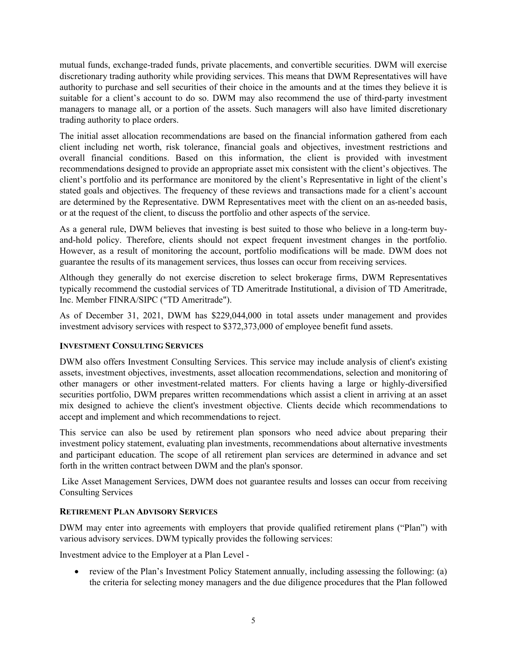mutual funds, exchange-traded funds, private placements, and convertible securities. DWM will exercise discretionary trading authority while providing services. This means that DWM Representatives will have authority to purchase and sell securities of their choice in the amounts and at the times they believe it is suitable for a client's account to do so. DWM may also recommend the use of third-party investment managers to manage all, or a portion of the assets. Such managers will also have limited discretionary trading authority to place orders.

The initial asset allocation recommendations are based on the financial information gathered from each client including net worth, risk tolerance, financial goals and objectives, investment restrictions and overall financial conditions. Based on this information, the client is provided with investment recommendations designed to provide an appropriate asset mix consistent with the client's objectives. The client's portfolio and its performance are monitored by the client's Representative in light of the client's stated goals and objectives. The frequency of these reviews and transactions made for a client's account are determined by the Representative. DWM Representatives meet with the client on an as-needed basis, or at the request of the client, to discuss the portfolio and other aspects of the service.

As a general rule, DWM believes that investing is best suited to those who believe in a long-term buyand-hold policy. Therefore, clients should not expect frequent investment changes in the portfolio. However, as a result of monitoring the account, portfolio modifications will be made. DWM does not guarantee the results of its management services, thus losses can occur from receiving services.

Although they generally do not exercise discretion to select brokerage firms, DWM Representatives typically recommend the custodial services of TD Ameritrade Institutional, a division of TD Ameritrade, Inc. Member FINRA/SIPC ("TD Ameritrade").

As of December 31, 2021, DWM has \$229,044,000 in total assets under management and provides investment advisory services with respect to \$372,373,000 of employee benefit fund assets.

# **INVESTMENT CONSULTING SERVICES**

DWM also offers Investment Consulting Services. This service may include analysis of client's existing assets, investment objectives, investments, asset allocation recommendations, selection and monitoring of other managers or other investment-related matters. For clients having a large or highly-diversified securities portfolio, DWM prepares written recommendations which assist a client in arriving at an asset mix designed to achieve the client's investment objective. Clients decide which recommendations to accept and implement and which recommendations to reject.

This service can also be used by retirement plan sponsors who need advice about preparing their investment policy statement, evaluating plan investments, recommendations about alternative investments and participant education. The scope of all retirement plan services are determined in advance and set forth in the written contract between DWM and the plan's sponsor.

Like Asset Management Services, DWM does not guarantee results and losses can occur from receiving Consulting Services

### **RETIREMENT PLAN ADVISORY SERVICES**

DWM may enter into agreements with employers that provide qualified retirement plans ("Plan") with various advisory services. DWM typically provides the following services:

Investment advice to the Employer at a Plan Level -

• review of the Plan's Investment Policy Statement annually, including assessing the following: (a) the criteria for selecting money managers and the due diligence procedures that the Plan followed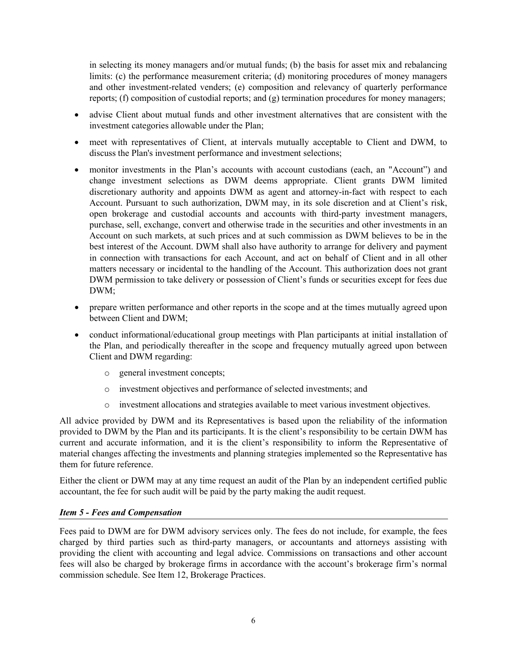in selecting its money managers and/or mutual funds; (b) the basis for asset mix and rebalancing limits: (c) the performance measurement criteria; (d) monitoring procedures of money managers and other investment-related venders; (e) composition and relevancy of quarterly performance reports; (f) composition of custodial reports; and (g) termination procedures for money managers;

- advise Client about mutual funds and other investment alternatives that are consistent with the investment categories allowable under the Plan;
- meet with representatives of Client, at intervals mutually acceptable to Client and DWM, to discuss the Plan's investment performance and investment selections;
- monitor investments in the Plan's accounts with account custodians (each, an "Account") and change investment selections as DWM deems appropriate. Client grants DWM limited discretionary authority and appoints DWM as agent and attorney-in-fact with respect to each Account. Pursuant to such authorization, DWM may, in its sole discretion and at Client's risk, open brokerage and custodial accounts and accounts with third-party investment managers, purchase, sell, exchange, convert and otherwise trade in the securities and other investments in an Account on such markets, at such prices and at such commission as DWM believes to be in the best interest of the Account. DWM shall also have authority to arrange for delivery and payment in connection with transactions for each Account, and act on behalf of Client and in all other matters necessary or incidental to the handling of the Account. This authorization does not grant DWM permission to take delivery or possession of Client's funds or securities except for fees due DWM;
- prepare written performance and other reports in the scope and at the times mutually agreed upon between Client and DWM;
- conduct informational/educational group meetings with Plan participants at initial installation of the Plan, and periodically thereafter in the scope and frequency mutually agreed upon between Client and DWM regarding:
	- o general investment concepts;
	- o investment objectives and performance of selected investments; and
	- o investment allocations and strategies available to meet various investment objectives.

All advice provided by DWM and its Representatives is based upon the reliability of the information provided to DWM by the Plan and its participants. It is the client's responsibility to be certain DWM has current and accurate information, and it is the client's responsibility to inform the Representative of material changes affecting the investments and planning strategies implemented so the Representative has them for future reference.

Either the client or DWM may at any time request an audit of the Plan by an independent certified public accountant, the fee for such audit will be paid by the party making the audit request.

### *Item 5 - Fees and Compensation*

Fees paid to DWM are for DWM advisory services only. The fees do not include, for example, the fees charged by third parties such as third-party managers, or accountants and attorneys assisting with providing the client with accounting and legal advice. Commissions on transactions and other account fees will also be charged by brokerage firms in accordance with the account's brokerage firm's normal commission schedule. See Item 12, Brokerage Practices.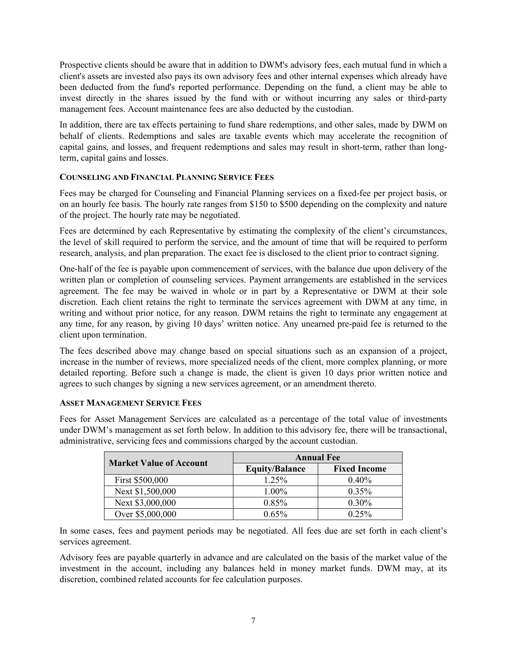Prospective clients should be aware that in addition to DWM's advisory fees, each mutual fund in which a client's assets are invested also pays its own advisory fees and other internal expenses which already have been deducted from the fund's reported performance. Depending on the fund, a client may be able to invest directly in the shares issued by the fund with or without incurring any sales or third-party management fees. Account maintenance fees are also deducted by the custodian.

In addition, there are tax effects pertaining to fund share redemptions, and other sales, made by DWM on behalf of clients. Redemptions and sales are taxable events which may accelerate the recognition of capital gains, and losses, and frequent redemptions and sales may result in short-term, rather than longterm, capital gains and losses.

# **COUNSELING AND FINANCIAL PLANNING SERVICE FEES**

Fees may be charged for Counseling and Financial Planning services on a fixed-fee per project basis, or on an hourly fee basis. The hourly rate ranges from \$150 to \$500 depending on the complexity and nature of the project. The hourly rate may be negotiated.

Fees are determined by each Representative by estimating the complexity of the client's circumstances, the level of skill required to perform the service, and the amount of time that will be required to perform research, analysis, and plan preparation. The exact fee is disclosed to the client prior to contract signing.

One-half of the fee is payable upon commencement of services, with the balance due upon delivery of the written plan or completion of counseling services. Payment arrangements are established in the services agreement. The fee may be waived in whole or in part by a Representative or DWM at their sole discretion. Each client retains the right to terminate the services agreement with DWM at any time, in writing and without prior notice, for any reason. DWM retains the right to terminate any engagement at any time, for any reason, by giving 10 days' written notice. Any unearned pre-paid fee is returned to the client upon termination.

The fees described above may change based on special situations such as an expansion of a project, increase in the number of reviews, more specialized needs of the client, more complex planning, or more detailed reporting. Before such a change is made, the client is given 10 days prior written notice and agrees to such changes by signing a new services agreement, or an amendment thereto.

### **ASSET MANAGEMENT SERVICE FEES**

Fees for Asset Management Services are calculated as a percentage of the total value of investments under DWM's management as set forth below. In addition to this advisory fee, there will be transactional, administrative, servicing fees and commissions charged by the account custodian.

| <b>Market Value of Account</b> | <b>Annual Fee</b>     |                     |
|--------------------------------|-----------------------|---------------------|
|                                | <b>Equity/Balance</b> | <b>Fixed Income</b> |
| First \$500,000                | 1.25%                 | $0.40\%$            |
| Next \$1,500,000               | 1.00%                 | 0.35%               |
| Next \$3,000,000               | $0.85\%$              | 0.30%               |
| Over \$5,000,000               | $0.65\%$              | 0.25%               |

In some cases, fees and payment periods may be negotiated. All fees due are set forth in each client's services agreement.

Advisory fees are payable quarterly in advance and are calculated on the basis of the market value of the investment in the account, including any balances held in money market funds. DWM may, at its discretion, combined related accounts for fee calculation purposes.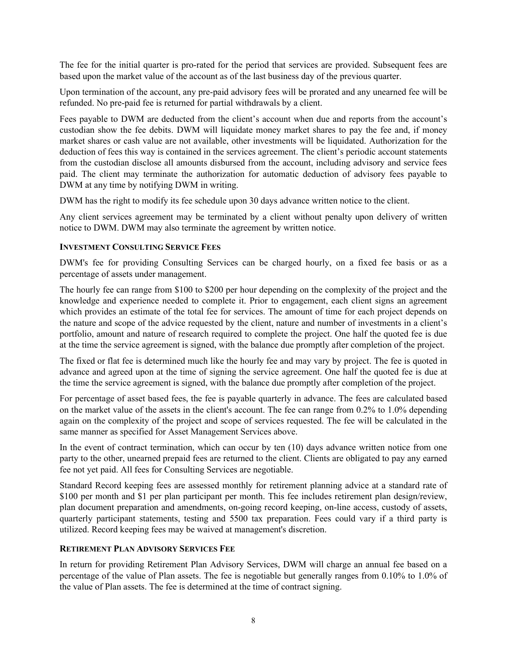The fee for the initial quarter is pro-rated for the period that services are provided. Subsequent fees are based upon the market value of the account as of the last business day of the previous quarter.

Upon termination of the account, any pre-paid advisory fees will be prorated and any unearned fee will be refunded. No pre-paid fee is returned for partial withdrawals by a client.

Fees payable to DWM are deducted from the client's account when due and reports from the account's custodian show the fee debits. DWM will liquidate money market shares to pay the fee and, if money market shares or cash value are not available, other investments will be liquidated. Authorization for the deduction of fees this way is contained in the services agreement. The client's periodic account statements from the custodian disclose all amounts disbursed from the account, including advisory and service fees paid. The client may terminate the authorization for automatic deduction of advisory fees payable to DWM at any time by notifying DWM in writing.

DWM has the right to modify its fee schedule upon 30 days advance written notice to the client.

Any client services agreement may be terminated by a client without penalty upon delivery of written notice to DWM. DWM may also terminate the agreement by written notice.

#### **INVESTMENT CONSULTING SERVICE FEES**

DWM's fee for providing Consulting Services can be charged hourly, on a fixed fee basis or as a percentage of assets under management.

The hourly fee can range from \$100 to \$200 per hour depending on the complexity of the project and the knowledge and experience needed to complete it. Prior to engagement, each client signs an agreement which provides an estimate of the total fee for services. The amount of time for each project depends on the nature and scope of the advice requested by the client, nature and number of investments in a client's portfolio, amount and nature of research required to complete the project. One half the quoted fee is due at the time the service agreement is signed, with the balance due promptly after completion of the project.

The fixed or flat fee is determined much like the hourly fee and may vary by project. The fee is quoted in advance and agreed upon at the time of signing the service agreement. One half the quoted fee is due at the time the service agreement is signed, with the balance due promptly after completion of the project.

For percentage of asset based fees, the fee is payable quarterly in advance. The fees are calculated based on the market value of the assets in the client's account. The fee can range from 0.2% to 1.0% depending again on the complexity of the project and scope of services requested. The fee will be calculated in the same manner as specified for Asset Management Services above.

In the event of contract termination, which can occur by ten (10) days advance written notice from one party to the other, unearned prepaid fees are returned to the client. Clients are obligated to pay any earned fee not yet paid. All fees for Consulting Services are negotiable.

Standard Record keeping fees are assessed monthly for retirement planning advice at a standard rate of \$100 per month and \$1 per plan participant per month. This fee includes retirement plan design/review, plan document preparation and amendments, on-going record keeping, on-line access, custody of assets, quarterly participant statements, testing and 5500 tax preparation. Fees could vary if a third party is utilized. Record keeping fees may be waived at management's discretion.

### **RETIREMENT PLAN ADVISORY SERVICES FEE**

In return for providing Retirement Plan Advisory Services, DWM will charge an annual fee based on a percentage of the value of Plan assets. The fee is negotiable but generally ranges from 0.10% to 1.0% of the value of Plan assets. The fee is determined at the time of contract signing.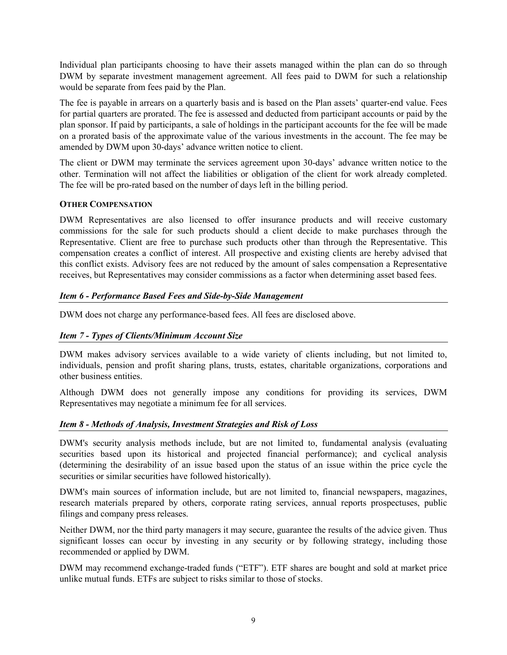Individual plan participants choosing to have their assets managed within the plan can do so through DWM by separate investment management agreement. All fees paid to DWM for such a relationship would be separate from fees paid by the Plan.

The fee is payable in arrears on a quarterly basis and is based on the Plan assets' quarter-end value. Fees for partial quarters are prorated. The fee is assessed and deducted from participant accounts or paid by the plan sponsor. If paid by participants, a sale of holdings in the participant accounts for the fee will be made on a prorated basis of the approximate value of the various investments in the account. The fee may be amended by DWM upon 30-days' advance written notice to client.

The client or DWM may terminate the services agreement upon 30-days' advance written notice to the other. Termination will not affect the liabilities or obligation of the client for work already completed. The fee will be pro-rated based on the number of days left in the billing period.

### **OTHER COMPENSATION**

DWM Representatives are also licensed to offer insurance products and will receive customary commissions for the sale for such products should a client decide to make purchases through the Representative. Client are free to purchase such products other than through the Representative. This compensation creates a conflict of interest. All prospective and existing clients are hereby advised that this conflict exists. Advisory fees are not reduced by the amount of sales compensation a Representative receives, but Representatives may consider commissions as a factor when determining asset based fees.

# *Item 6 - Performance Based Fees and Side-by-Side Management*

DWM does not charge any performance-based fees. All fees are disclosed above.

# *Item 7 - Types of Clients/Minimum Account Size*

DWM makes advisory services available to a wide variety of clients including, but not limited to, individuals, pension and profit sharing plans, trusts, estates, charitable organizations, corporations and other business entities.

Although DWM does not generally impose any conditions for providing its services, DWM Representatives may negotiate a minimum fee for all services.

### *Item 8 - Methods of Analysis, Investment Strategies and Risk of Loss*

DWM's security analysis methods include, but are not limited to, fundamental analysis (evaluating securities based upon its historical and projected financial performance); and cyclical analysis (determining the desirability of an issue based upon the status of an issue within the price cycle the securities or similar securities have followed historically).

DWM's main sources of information include, but are not limited to, financial newspapers, magazines, research materials prepared by others, corporate rating services, annual reports prospectuses, public filings and company press releases.

Neither DWM, nor the third party managers it may secure, guarantee the results of the advice given. Thus significant losses can occur by investing in any security or by following strategy, including those recommended or applied by DWM.

DWM may recommend exchange-traded funds ("ETF"). ETF shares are bought and sold at market price unlike mutual funds. ETFs are subject to risks similar to those of stocks.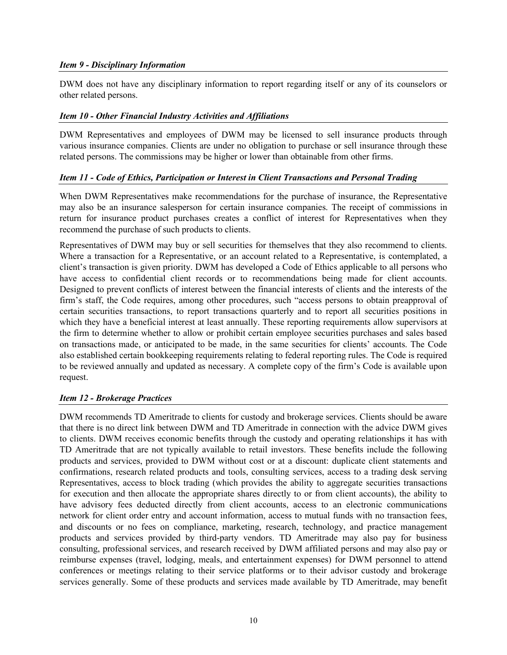### *Item 9 - Disciplinary Information*

DWM does not have any disciplinary information to report regarding itself or any of its counselors or other related persons.

# *Item 10 - Other Financial Industry Activities and Affiliations*

DWM Representatives and employees of DWM may be licensed to sell insurance products through various insurance companies. Clients are under no obligation to purchase or sell insurance through these related persons. The commissions may be higher or lower than obtainable from other firms.

# *Item 11 - Code of Ethics, Participation or Interest in Client Transactions and Personal Trading*

When DWM Representatives make recommendations for the purchase of insurance, the Representative may also be an insurance salesperson for certain insurance companies. The receipt of commissions in return for insurance product purchases creates a conflict of interest for Representatives when they recommend the purchase of such products to clients.

Representatives of DWM may buy or sell securities for themselves that they also recommend to clients. Where a transaction for a Representative, or an account related to a Representative, is contemplated, a client's transaction is given priority. DWM has developed a Code of Ethics applicable to all persons who have access to confidential client records or to recommendations being made for client accounts. Designed to prevent conflicts of interest between the financial interests of clients and the interests of the firm's staff, the Code requires, among other procedures, such "access persons to obtain preapproval of certain securities transactions, to report transactions quarterly and to report all securities positions in which they have a beneficial interest at least annually. These reporting requirements allow supervisors at the firm to determine whether to allow or prohibit certain employee securities purchases and sales based on transactions made, or anticipated to be made, in the same securities for clients' accounts. The Code also established certain bookkeeping requirements relating to federal reporting rules. The Code is required to be reviewed annually and updated as necessary. A complete copy of the firm's Code is available upon request.

# *Item 12 - Brokerage Practices*

DWM recommends TD Ameritrade to clients for custody and brokerage services. Clients should be aware that there is no direct link between DWM and TD Ameritrade in connection with the advice DWM gives to clients. DWM receives economic benefits through the custody and operating relationships it has with TD Ameritrade that are not typically available to retail investors. These benefits include the following products and services, provided to DWM without cost or at a discount: duplicate client statements and confirmations, research related products and tools, consulting services, access to a trading desk serving Representatives, access to block trading (which provides the ability to aggregate securities transactions for execution and then allocate the appropriate shares directly to or from client accounts), the ability to have advisory fees deducted directly from client accounts, access to an electronic communications network for client order entry and account information, access to mutual funds with no transaction fees, and discounts or no fees on compliance, marketing, research, technology, and practice management products and services provided by third-party vendors. TD Ameritrade may also pay for business consulting, professional services, and research received by DWM affiliated persons and may also pay or reimburse expenses (travel, lodging, meals, and entertainment expenses) for DWM personnel to attend conferences or meetings relating to their service platforms or to their advisor custody and brokerage services generally. Some of these products and services made available by TD Ameritrade, may benefit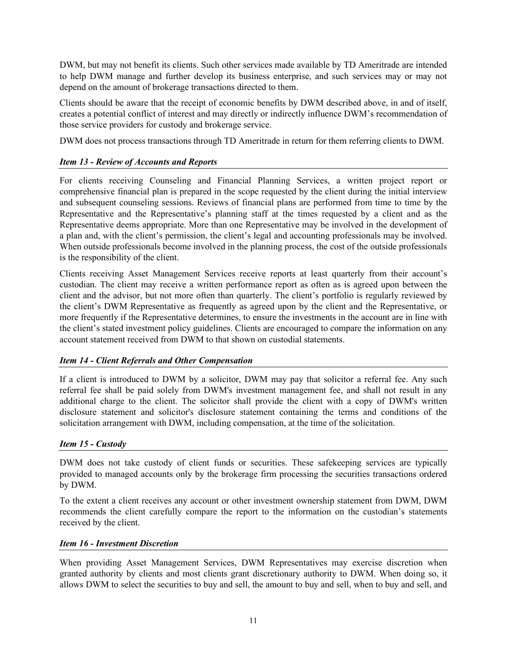DWM, but may not benefit its clients. Such other services made available by TD Ameritrade are intended to help DWM manage and further develop its business enterprise, and such services may or may not depend on the amount of brokerage transactions directed to them.

Clients should be aware that the receipt of economic benefits by DWM described above, in and of itself, creates a potential conflict of interest and may directly or indirectly influence DWM's recommendation of those service providers for custody and brokerage service.

DWM does not process transactions through TD Ameritrade in return for them referring clients to DWM.

# *Item 13 - Review of Accounts and Reports*

For clients receiving Counseling and Financial Planning Services, a written project report or comprehensive financial plan is prepared in the scope requested by the client during the initial interview and subsequent counseling sessions. Reviews of financial plans are performed from time to time by the Representative and the Representative's planning staff at the times requested by a client and as the Representative deems appropriate. More than one Representative may be involved in the development of a plan and, with the client's permission, the client's legal and accounting professionals may be involved. When outside professionals become involved in the planning process, the cost of the outside professionals is the responsibility of the client.

Clients receiving Asset Management Services receive reports at least quarterly from their account's custodian. The client may receive a written performance report as often as is agreed upon between the client and the advisor, but not more often than quarterly. The client's portfolio is regularly reviewed by the client's DWM Representative as frequently as agreed upon by the client and the Representative, or more frequently if the Representative determines, to ensure the investments in the account are in line with the client's stated investment policy guidelines. Clients are encouraged to compare the information on any account statement received from DWM to that shown on custodial statements.

### *Item 14 - Client Referrals and Other Compensation*

If a client is introduced to DWM by a solicitor, DWM may pay that solicitor a referral fee. Any such referral fee shall be paid solely from DWM's investment management fee, and shall not result in any additional charge to the client. The solicitor shall provide the client with a copy of DWM's written disclosure statement and solicitor's disclosure statement containing the terms and conditions of the solicitation arrangement with DWM, including compensation, at the time of the solicitation.

### *Item 15 - Custody*

DWM does not take custody of client funds or securities. These safekeeping services are typically provided to managed accounts only by the brokerage firm processing the securities transactions ordered by DWM.

To the extent a client receives any account or other investment ownership statement from DWM, DWM recommends the client carefully compare the report to the information on the custodian's statements received by the client.

### *Item 16 - Investment Discretion*

When providing Asset Management Services, DWM Representatives may exercise discretion when granted authority by clients and most clients grant discretionary authority to DWM. When doing so, it allows DWM to select the securities to buy and sell, the amount to buy and sell, when to buy and sell, and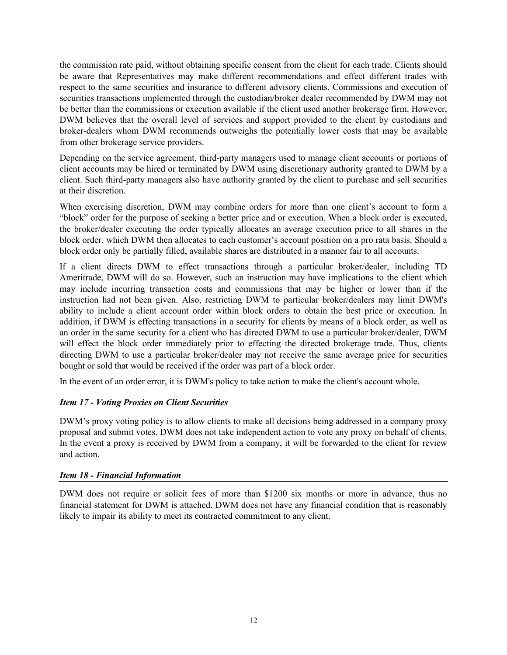the commission rate paid, without obtaining specific consent from the client for each trade. Clients should be aware that Representatives may make different recommendations and effect different trades with respect to the same securities and insurance to different advisory clients. Commissions and execution of securities transactions implemented through the custodian/broker dealer recommended by DWM may not be better than the commissions or execution available if the client used another brokerage firm. However, DWM believes that the overall level of services and support provided to the client by custodians and broker-dealers whom DWM recommends outweighs the potentially lower costs that may be available from other brokerage service providers.

Depending on the service agreement, third-party managers used to manage client accounts or portions of client accounts may be hired or terminated by DWM using discretionary authority granted to DWM by a client. Such third-party managers also have authority granted by the client to purchase and sell securities at their discretion.

When exercising discretion, DWM may combine orders for more than one client's account to form a "block" order for the purpose of seeking a better price and or execution. When a block order is executed, the broker/dealer executing the order typically allocates an average execution price to all shares in the block order, which DWM then allocates to each customer's account position on a pro rata basis. Should a block order only be partially filled, available shares are distributed in a manner fair to all accounts.

If a client directs DWM to effect transactions through a particular broker/dealer, including TD Ameritrade, DWM will do so. However, such an instruction may have implications to the client which may include incurring transaction costs and commissions that may be higher or lower than if the instruction had not been given. Also, restricting DWM to particular broker/dealers may limit DWM's ability to include a client account order within block orders to obtain the best price or execution. In addition, if DWM is effecting transactions in a security for clients by means of a block order, as well as an order in the same security for a client who has directed DWM to use a particular broker/dealer, DWM will effect the block order immediately prior to effecting the directed brokerage trade. Thus, clients directing DWM to use a particular broker/dealer may not receive the same average price for securities bought or sold that would be received if the order was part of a block order.

In the event of an order error, it is DWM's policy to take action to make the client's account whole.

# *Item 17 - Voting Proxies on Client Securities*

DWM's proxy voting policy is to allow clients to make all decisions being addressed in a company proxy proposal and submit votes. DWM does not take independent action to vote any proxy on behalf of clients. In the event a proxy is received by DWM from a company, it will be forwarded to the client for review and action.

# *Item 18 - Financial Information*

DWM does not require or solicit fees of more than \$1200 six months or more in advance, thus no financial statement for DWM is attached. DWM does not have any financial condition that is reasonably likely to impair its ability to meet its contracted commitment to any client.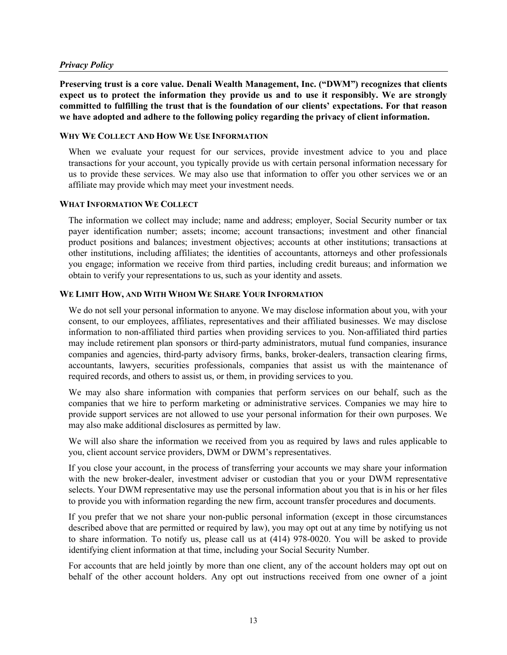#### *Privacy Policy*

**Preserving trust is a core value. Denali Wealth Management, Inc. ("DWM") recognizes that clients expect us to protect the information they provide us and to use it responsibly. We are strongly committed to fulfilling the trust that is the foundation of our clients' expectations. For that reason we have adopted and adhere to the following policy regarding the privacy of client information.** 

#### **WHY WE COLLECT AND HOW WE USE INFORMATION**

When we evaluate your request for our services, provide investment advice to you and place transactions for your account, you typically provide us with certain personal information necessary for us to provide these services. We may also use that information to offer you other services we or an affiliate may provide which may meet your investment needs.

#### **WHAT INFORMATION WE COLLECT**

The information we collect may include; name and address; employer, Social Security number or tax payer identification number; assets; income; account transactions; investment and other financial product positions and balances; investment objectives; accounts at other institutions; transactions at other institutions, including affiliates; the identities of accountants, attorneys and other professionals you engage; information we receive from third parties, including credit bureaus; and information we obtain to verify your representations to us, such as your identity and assets.

#### **WE LIMIT HOW, AND WITH WHOM WE SHARE YOUR INFORMATION**

We do not sell your personal information to anyone. We may disclose information about you, with your consent, to our employees, affiliates, representatives and their affiliated businesses. We may disclose information to non-affiliated third parties when providing services to you. Non-affiliated third parties may include retirement plan sponsors or third-party administrators, mutual fund companies, insurance companies and agencies, third-party advisory firms, banks, broker-dealers, transaction clearing firms, accountants, lawyers, securities professionals, companies that assist us with the maintenance of required records, and others to assist us, or them, in providing services to you.

We may also share information with companies that perform services on our behalf, such as the companies that we hire to perform marketing or administrative services. Companies we may hire to provide support services are not allowed to use your personal information for their own purposes. We may also make additional disclosures as permitted by law.

We will also share the information we received from you as required by laws and rules applicable to you, client account service providers, DWM or DWM's representatives.

If you close your account, in the process of transferring your accounts we may share your information with the new broker-dealer, investment adviser or custodian that you or your DWM representative selects. Your DWM representative may use the personal information about you that is in his or her files to provide you with information regarding the new firm, account transfer procedures and documents.

If you prefer that we not share your non-public personal information (except in those circumstances described above that are permitted or required by law), you may opt out at any time by notifying us not to share information. To notify us, please call us at (414) 978-0020. You will be asked to provide identifying client information at that time, including your Social Security Number.

For accounts that are held jointly by more than one client, any of the account holders may opt out on behalf of the other account holders. Any opt out instructions received from one owner of a joint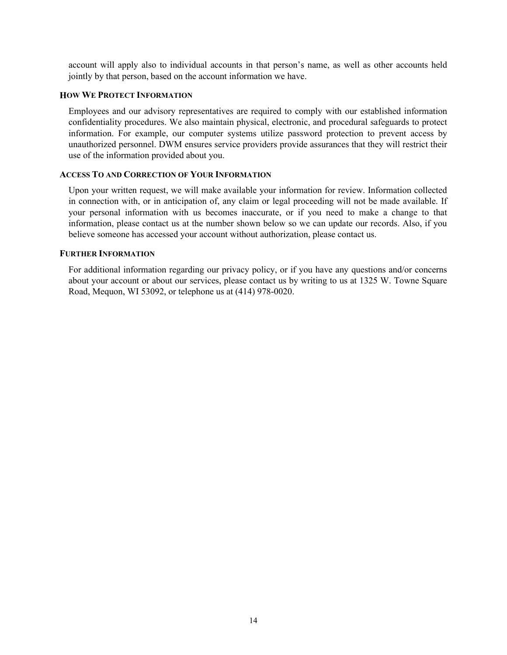account will apply also to individual accounts in that person's name, as well as other accounts held jointly by that person, based on the account information we have.

#### **HOW WE PROTECT INFORMATION**

Employees and our advisory representatives are required to comply with our established information confidentiality procedures. We also maintain physical, electronic, and procedural safeguards to protect information. For example, our computer systems utilize password protection to prevent access by unauthorized personnel. DWM ensures service providers provide assurances that they will restrict their use of the information provided about you.

### **ACCESS TO AND CORRECTION OF YOUR INFORMATION**

Upon your written request, we will make available your information for review. Information collected in connection with, or in anticipation of, any claim or legal proceeding will not be made available. If your personal information with us becomes inaccurate, or if you need to make a change to that information, please contact us at the number shown below so we can update our records. Also, if you believe someone has accessed your account without authorization, please contact us.

#### **FURTHER INFORMATION**

For additional information regarding our privacy policy, or if you have any questions and/or concerns about your account or about our services, please contact us by writing to us at 1325 W. Towne Square Road, Mequon, WI 53092, or telephone us at (414) 978-0020.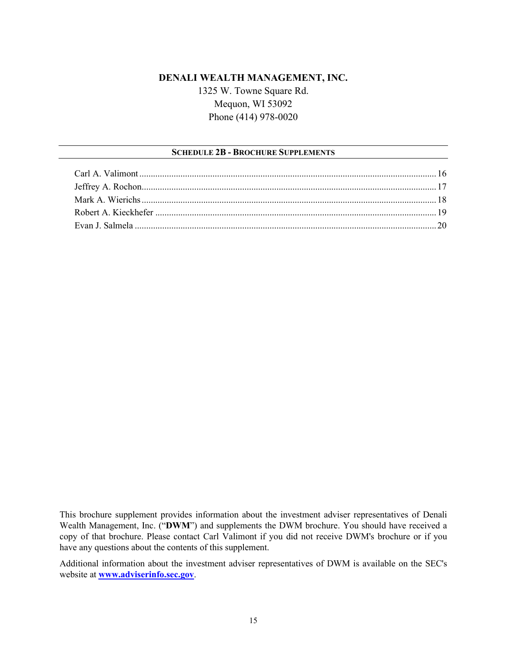# **DENALI WEALTH MANAGEMENT, INC.** 1325 W. Towne Square Rd. Mequon, WI 53092 Phone (414) 978-0020

## **SCHEDULE 2B - BROCHURE SUPPLEMENTS**

This brochure supplement provides information about the investment adviser representatives of Denali Wealth Management, Inc. ("**DWM**") and supplements the DWM brochure. You should have received a copy of that brochure. Please contact Carl Valimont if you did not receive DWM's brochure or if you have any questions about the contents of this supplement.

Additional information about the investment adviser representatives of DWM is available on the SEC's website at **[www.adviserinfo.sec.gov](http://www.adviserinfo.sec.gov/)**.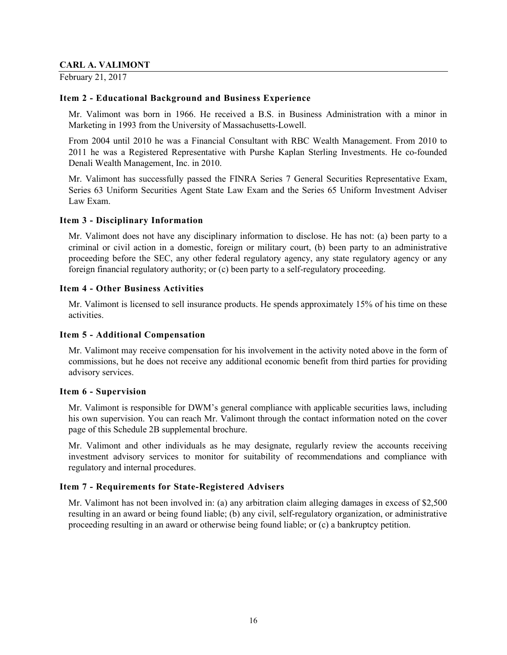## **CARL A. VALIMONT**

February 21, 2017

## **Item 2 - Educational Background and Business Experience**

Mr. Valimont was born in 1966. He received a B.S. in Business Administration with a minor in Marketing in 1993 from the University of Massachusetts-Lowell.

From 2004 until 2010 he was a Financial Consultant with RBC Wealth Management. From 2010 to 2011 he was a Registered Representative with Purshe Kaplan Sterling Investments. He co-founded Denali Wealth Management, Inc. in 2010.

Mr. Valimont has successfully passed the FINRA Series 7 General Securities Representative Exam, Series 63 Uniform Securities Agent State Law Exam and the Series 65 Uniform Investment Adviser Law Exam.

### **Item 3 - Disciplinary Information**

Mr. Valimont does not have any disciplinary information to disclose. He has not: (a) been party to a criminal or civil action in a domestic, foreign or military court, (b) been party to an administrative proceeding before the SEC, any other federal regulatory agency, any state regulatory agency or any foreign financial regulatory authority; or (c) been party to a self-regulatory proceeding.

# **Item 4 - Other Business Activities**

Mr. Valimont is licensed to sell insurance products. He spends approximately 15% of his time on these activities.

### **Item 5 - Additional Compensation**

Mr. Valimont may receive compensation for his involvement in the activity noted above in the form of commissions, but he does not receive any additional economic benefit from third parties for providing advisory services.

### **Item 6 - Supervision**

Mr. Valimont is responsible for DWM's general compliance with applicable securities laws, including his own supervision. You can reach Mr. Valimont through the contact information noted on the cover page of this Schedule 2B supplemental brochure.

Mr. Valimont and other individuals as he may designate, regularly review the accounts receiving investment advisory services to monitor for suitability of recommendations and compliance with regulatory and internal procedures.

# **Item 7 - Requirements for State-Registered Advisers**

Mr. Valimont has not been involved in: (a) any arbitration claim alleging damages in excess of \$2,500 resulting in an award or being found liable; (b) any civil, self-regulatory organization, or administrative proceeding resulting in an award or otherwise being found liable; or (c) a bankruptcy petition.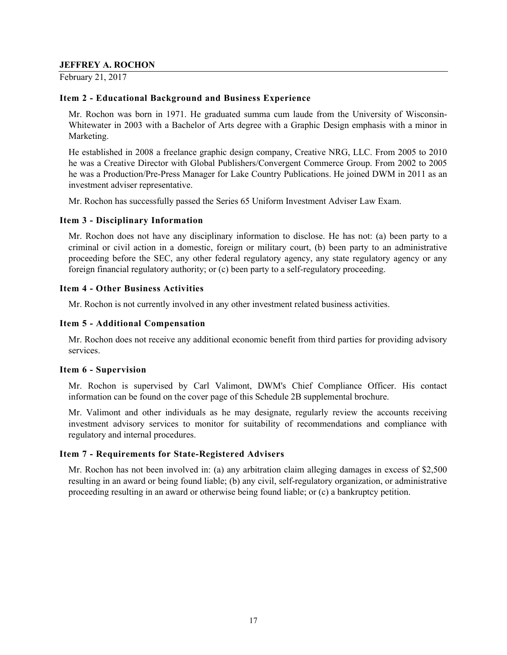## **JEFFREY A. ROCHON**

February 21, 2017

# **Item 2 - Educational Background and Business Experience**

Mr. Rochon was born in 1971. He graduated summa cum laude from the University of Wisconsin-Whitewater in 2003 with a Bachelor of Arts degree with a Graphic Design emphasis with a minor in Marketing.

He established in 2008 a freelance graphic design company, Creative NRG, LLC. From 2005 to 2010 he was a Creative Director with Global Publishers/Convergent Commerce Group. From 2002 to 2005 he was a Production/Pre-Press Manager for Lake Country Publications. He joined DWM in 2011 as an investment adviser representative.

Mr. Rochon has successfully passed the Series 65 Uniform Investment Adviser Law Exam.

### **Item 3 - Disciplinary Information**

Mr. Rochon does not have any disciplinary information to disclose. He has not: (a) been party to a criminal or civil action in a domestic, foreign or military court, (b) been party to an administrative proceeding before the SEC, any other federal regulatory agency, any state regulatory agency or any foreign financial regulatory authority; or (c) been party to a self-regulatory proceeding.

# **Item 4 - Other Business Activities**

Mr. Rochon is not currently involved in any other investment related business activities.

# **Item 5 - Additional Compensation**

Mr. Rochon does not receive any additional economic benefit from third parties for providing advisory services.

### **Item 6 - Supervision**

Mr. Rochon is supervised by Carl Valimont, DWM's Chief Compliance Officer. His contact information can be found on the cover page of this Schedule 2B supplemental brochure.

Mr. Valimont and other individuals as he may designate, regularly review the accounts receiving investment advisory services to monitor for suitability of recommendations and compliance with regulatory and internal procedures.

### **Item 7 - Requirements for State-Registered Advisers**

Mr. Rochon has not been involved in: (a) any arbitration claim alleging damages in excess of \$2,500 resulting in an award or being found liable; (b) any civil, self-regulatory organization, or administrative proceeding resulting in an award or otherwise being found liable; or (c) a bankruptcy petition.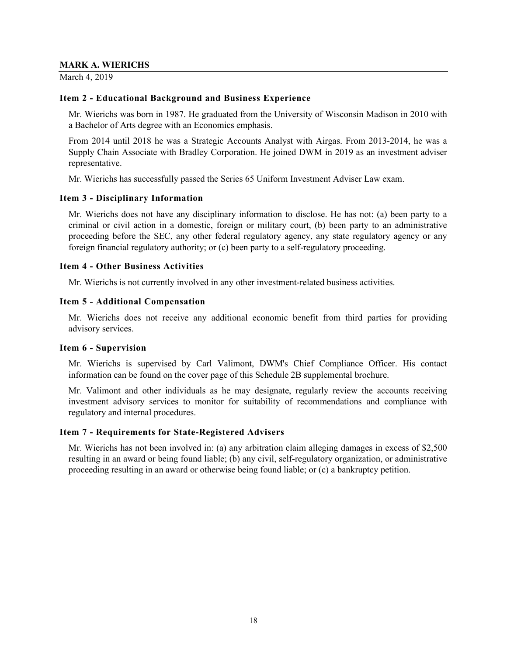#### **MARK A. WIERICHS**

March 4, 2019

## **Item 2 - Educational Background and Business Experience**

Mr. Wierichs was born in 1987. He graduated from the University of Wisconsin Madison in 2010 with a Bachelor of Arts degree with an Economics emphasis.

From 2014 until 2018 he was a Strategic Accounts Analyst with Airgas. From 2013-2014, he was a Supply Chain Associate with Bradley Corporation. He joined DWM in 2019 as an investment adviser representative.

Mr. Wierichs has successfully passed the Series 65 Uniform Investment Adviser Law exam.

### **Item 3 - Disciplinary Information**

Mr. Wierichs does not have any disciplinary information to disclose. He has not: (a) been party to a criminal or civil action in a domestic, foreign or military court, (b) been party to an administrative proceeding before the SEC, any other federal regulatory agency, any state regulatory agency or any foreign financial regulatory authority; or (c) been party to a self-regulatory proceeding.

### **Item 4 - Other Business Activities**

Mr. Wierichs is not currently involved in any other investment-related business activities.

#### **Item 5 - Additional Compensation**

Mr. Wierichs does not receive any additional economic benefit from third parties for providing advisory services.

### **Item 6 - Supervision**

Mr. Wierichs is supervised by Carl Valimont, DWM's Chief Compliance Officer. His contact information can be found on the cover page of this Schedule 2B supplemental brochure.

Mr. Valimont and other individuals as he may designate, regularly review the accounts receiving investment advisory services to monitor for suitability of recommendations and compliance with regulatory and internal procedures.

### **Item 7 - Requirements for State-Registered Advisers**

Mr. Wierichs has not been involved in: (a) any arbitration claim alleging damages in excess of \$2,500 resulting in an award or being found liable; (b) any civil, self-regulatory organization, or administrative proceeding resulting in an award or otherwise being found liable; or (c) a bankruptcy petition.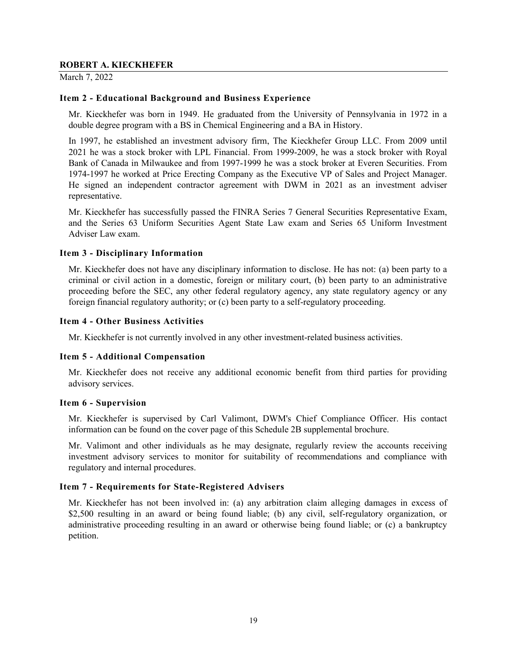March 7, 2022

#### **Item 2 - Educational Background and Business Experience**

Mr. Kieckhefer was born in 1949. He graduated from the University of Pennsylvania in 1972 in a double degree program with a BS in Chemical Engineering and a BA in History.

In 1997, he established an investment advisory firm, The Kieckhefer Group LLC. From 2009 until 2021 he was a stock broker with LPL Financial. From 1999-2009, he was a stock broker with Royal Bank of Canada in Milwaukee and from 1997-1999 he was a stock broker at Everen Securities. From 1974-1997 he worked at Price Erecting Company as the Executive VP of Sales and Project Manager. He signed an independent contractor agreement with DWM in 2021 as an investment adviser representative.

Mr. Kieckhefer has successfully passed the FINRA Series 7 General Securities Representative Exam, and the Series 63 Uniform Securities Agent State Law exam and Series 65 Uniform Investment Adviser Law exam.

#### **Item 3 - Disciplinary Information**

Mr. Kieckhefer does not have any disciplinary information to disclose. He has not: (a) been party to a criminal or civil action in a domestic, foreign or military court, (b) been party to an administrative proceeding before the SEC, any other federal regulatory agency, any state regulatory agency or any foreign financial regulatory authority; or (c) been party to a self-regulatory proceeding.

#### **Item 4 - Other Business Activities**

Mr. Kieckhefer is not currently involved in any other investment-related business activities.

#### **Item 5 - Additional Compensation**

Mr. Kieckhefer does not receive any additional economic benefit from third parties for providing advisory services.

#### **Item 6 - Supervision**

Mr. Kieckhefer is supervised by Carl Valimont, DWM's Chief Compliance Officer. His contact information can be found on the cover page of this Schedule 2B supplemental brochure.

Mr. Valimont and other individuals as he may designate, regularly review the accounts receiving investment advisory services to monitor for suitability of recommendations and compliance with regulatory and internal procedures.

#### **Item 7 - Requirements for State-Registered Advisers**

Mr. Kieckhefer has not been involved in: (a) any arbitration claim alleging damages in excess of \$2,500 resulting in an award or being found liable; (b) any civil, self-regulatory organization, or administrative proceeding resulting in an award or otherwise being found liable; or (c) a bankruptcy petition.